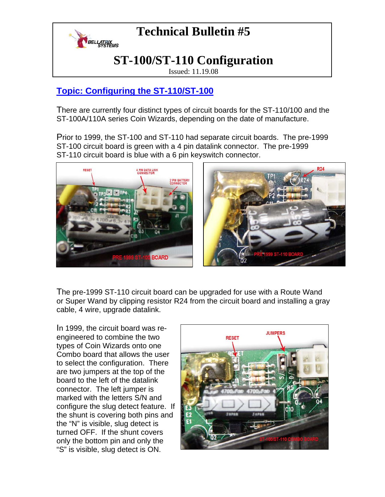

# **Technical Bulletin #5**

### **ST-100/ST-110 Configuration**

Issued: 11.19.08

#### **Topic: Configuring the ST-110/ST-100**

There are currently four distinct types of circuit boards for the ST-110/100 and the ST-100A/110A series Coin Wizards, depending on the date of manufacture.

Prior to 1999, the ST-100 and ST-110 had separate circuit boards. The pre-1999 ST-100 circuit board is green with a 4 pin datalink connector. The pre-1999 ST-110 circuit board is blue with a 6 pin keyswitch connector.



The pre-1999 ST-110 circuit board can be upgraded for use with a Route Wand or Super Wand by clipping resistor R24 from the circuit board and installing a gray cable, 4 wire, upgrade datalink.

In 1999, the circuit board was reengineered to combine the two types of Coin Wizards onto one Combo board that allows the user to select the configuration. There are two jumpers at the top of the board to the left of the datalink connector. The left jumper is marked with the letters S/N and configure the slug detect feature. If the shunt is covering both pins and the "N" is visible, slug detect is turned OFF. If the shunt covers only the bottom pin and only the "S" is visible, slug detect is ON.